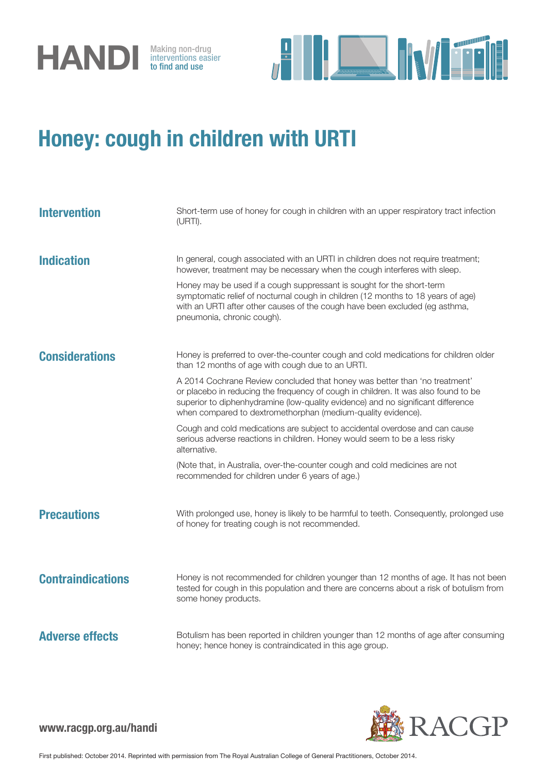

interventions easier to find and use



## Honey: cough in children with URTI

| <b>Intervention</b>      | Short-term use of honey for cough in children with an upper respiratory tract infection<br>(URTI).                                                                                                                                                                                                                   |
|--------------------------|----------------------------------------------------------------------------------------------------------------------------------------------------------------------------------------------------------------------------------------------------------------------------------------------------------------------|
| <b>Indication</b>        | In general, cough associated with an URTI in children does not require treatment;<br>however, treatment may be necessary when the cough interferes with sleep.                                                                                                                                                       |
|                          | Honey may be used if a cough suppressant is sought for the short-term<br>symptomatic relief of nocturnal cough in children (12 months to 18 years of age)<br>with an URTI after other causes of the cough have been excluded (eg asthma,<br>pneumonia, chronic cough).                                               |
| <b>Considerations</b>    | Honey is preferred to over-the-counter cough and cold medications for children older<br>than 12 months of age with cough due to an URTI.                                                                                                                                                                             |
|                          | A 2014 Cochrane Review concluded that honey was better than 'no treatment'<br>or placebo in reducing the frequency of cough in children. It was also found to be<br>superior to diphenhydramine (low-quality evidence) and no significant difference<br>when compared to dextromethorphan (medium-quality evidence). |
|                          | Cough and cold medications are subject to accidental overdose and can cause<br>serious adverse reactions in children. Honey would seem to be a less risky<br>alternative.                                                                                                                                            |
|                          | (Note that, in Australia, over-the-counter cough and cold medicines are not<br>recommended for children under 6 years of age.)                                                                                                                                                                                       |
| <b>Precautions</b>       | With prolonged use, honey is likely to be harmful to teeth. Consequently, prolonged use<br>of honey for treating cough is not recommended.                                                                                                                                                                           |
| <b>Contraindications</b> | Honey is not recommended for children younger than 12 months of age. It has not been<br>tested for cough in this population and there are concerns about a risk of botulism from<br>some honey products.                                                                                                             |
| <b>Adverse effects</b>   | Botulism has been reported in children younger than 12 months of age after consuming<br>honey; hence honey is contraindicated in this age group.                                                                                                                                                                     |



www.racgp.org.au/handi